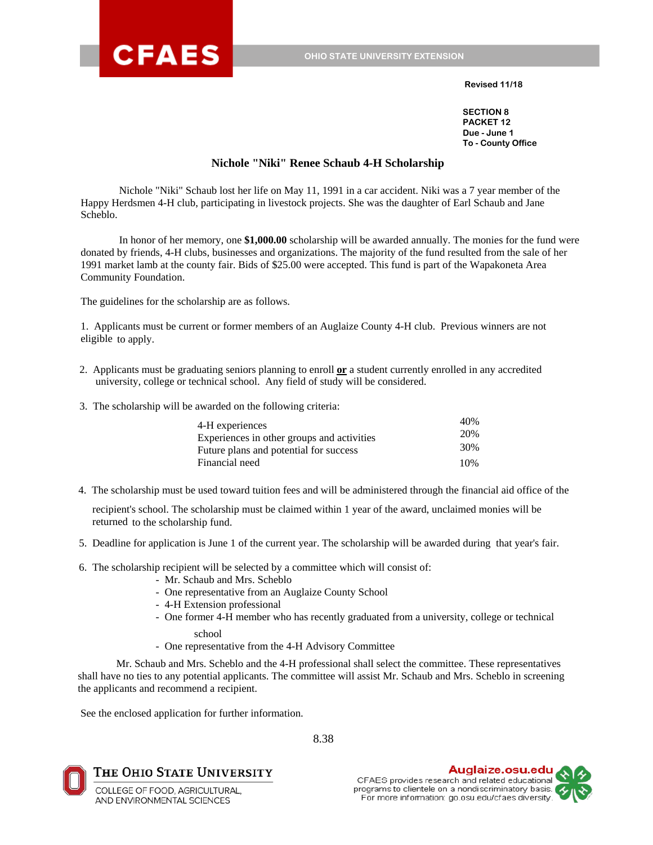

#### **Revised 11/18**

**SECTION 8 PACKET 12 Due - June 1 To - County Office**

#### **Nichole "Niki" Renee Schaub 4-H Scholarship**

Nichole "Niki" Schaub lost her life on May 11, 1991 in a car accident. Niki was a 7 year member of the Happy Herdsmen 4-H club, participating in livestock projects. She was the daughter of Earl Schaub and Jane Scheblo.

In honor of her memory, one **\$1,000.00** scholarship will be awarded annually. The monies for the fund were donated by friends, 4-H clubs, businesses and organizations. The majority of the fund resulted from the sale of her 1991 market lamb at the county fair. Bids of \$25.00 were accepted. This fund is part of the Wapakoneta Area Community Foundation.

The guidelines for the scholarship are as follows.

1. Applicants must be current or former members of an Auglaize County 4-H club. Previous winners are not eligible to apply.

- 2. Applicants must be graduating seniors planning to enroll **or** a student currently enrolled in any accredited university, college or technical school. Any field of study will be considered.
- 3. The scholarship will be awarded on the following criteria:

| 4-H experiences                            | 40% |
|--------------------------------------------|-----|
| Experiences in other groups and activities | 20% |
| Future plans and potential for success     | 30% |
| Financial need                             | 10% |

4. The scholarship must be used toward tuition fees and will be administered through the financial aid office of the

recipient's school. The scholarship must be claimed within 1 year of the award, unclaimed monies will be returned to the scholarship fund.

5. Deadline for application is June 1 of the current year. The scholarship will be awarded during that year's fair.

6. The scholarship recipient will be selected by a committee which will consist of:

- Mr. Schaub and Mrs. Scheblo
- One representative from an Auglaize County School
- 4-H Extension professional
- One former 4-H member who has recently graduated from a university, college or technical
	- school
- One representative from the 4-H Advisory Committee

Mr. Schaub and Mrs. Scheblo and the 4-H professional shall select the committee. These representatives shall have no ties to any potential applicants. The committee will assist Mr. Schaub and Mrs. Scheblo in screening the applicants and recommend a recipient.

See the enclosed application for further information.

8.38



The Ohio State University

COLLEGE OF FOOD, AGRICULTURAL, AND ENVIRONMENTAL SCIENCES

Auglaize.osu.edu CFAES provides research and related educational programs to clientele on a nondiscriminatory basis. For more information: go.osu.edu/cfaes diversity

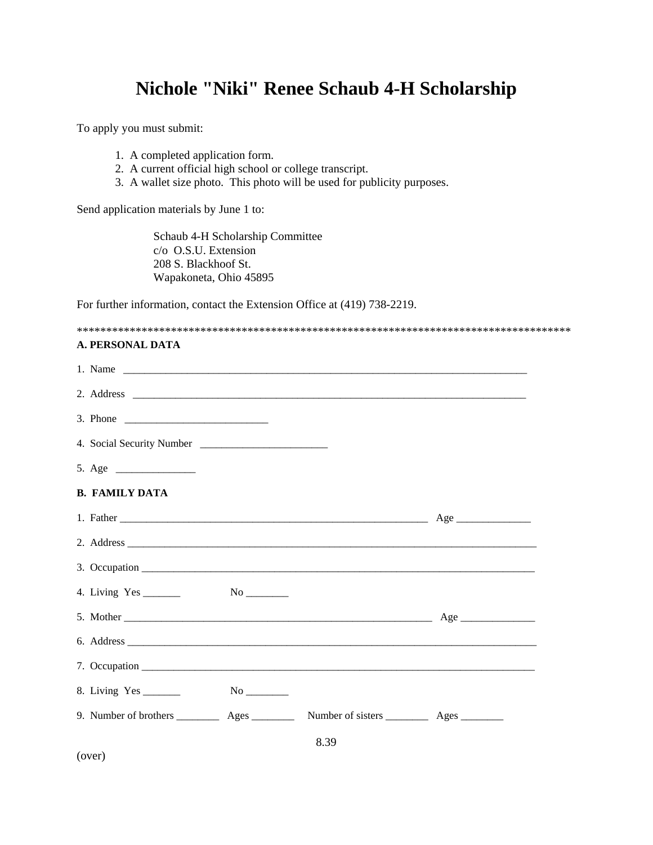# **Nichole "Niki" Renee Schaub 4-H Scholarship**

To apply you must submit:

- 1. A completed application form.
- 2. A current official high school or college transcript.
- 3. A wallet size photo. This photo will be used for publicity purposes.

Send application materials by June 1 to:

Schaub 4-H Scholarship Committee c/o O.S.U. Extension 208 S. Blackhoof St. Wapakoneta, Ohio 45895

For further information, contact the Extension Office at (419) 738-2219.

#### \*\*\*\*\*\*\*\*\*\*\*\*\*\*\*\*\*\*\*\*\*\*\*\*\*\*\*\*\*\*\*\*\*\*\*\*\*\*\*\*\*\*\*\*\*\*\*\*\*\*\*\*\*\*\*\*\*\*\*\*\*\*\*\*\*\*\*\*\*\*\*\*\*\*\*\*\*\*\*\*\*\*\*\*

#### **A. PERSONAL DATA**

| <b>B. FAMILY DATA</b> |      |  |
|-----------------------|------|--|
|                       |      |  |
|                       |      |  |
|                       |      |  |
|                       |      |  |
|                       |      |  |
|                       |      |  |
|                       |      |  |
|                       |      |  |
|                       |      |  |
|                       | 8.39 |  |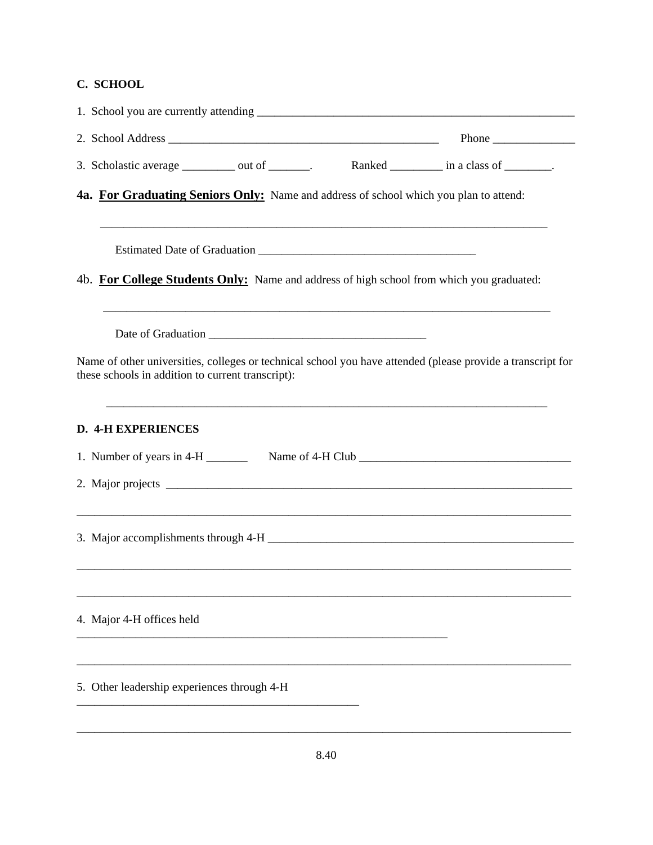## **C. SCHOOL**

|                                                                                                                                                                  | Phone $\frac{1}{\sqrt{1-\frac{1}{2}}\cdot\frac{1}{\sqrt{1-\frac{1}{2}}}}$ |
|------------------------------------------------------------------------------------------------------------------------------------------------------------------|---------------------------------------------------------------------------|
| 3. Scholastic average __________ out of _______.                                                                                                                 | Ranked ____________ in a class of ________.                               |
| 4a. For Graduating Seniors Only: Name and address of school which you plan to attend:                                                                            |                                                                           |
|                                                                                                                                                                  |                                                                           |
| 4b. For College Students Only: Name and address of high school from which you graduated:                                                                         |                                                                           |
| Name of other universities, colleges or technical school you have attended (please provide a transcript for<br>these schools in addition to current transcript): |                                                                           |
| <b>D. 4-H EXPERIENCES</b>                                                                                                                                        |                                                                           |
|                                                                                                                                                                  |                                                                           |
|                                                                                                                                                                  |                                                                           |
| <u> 1989 - Johann Stoff, deutscher Stoff, der Stoff, der Stoff, der Stoff, der Stoff, der Stoff, der Stoff, der S</u>                                            |                                                                           |
| 4. Major 4-H offices held                                                                                                                                        |                                                                           |
| 5. Other leadership experiences through 4-H                                                                                                                      |                                                                           |
|                                                                                                                                                                  |                                                                           |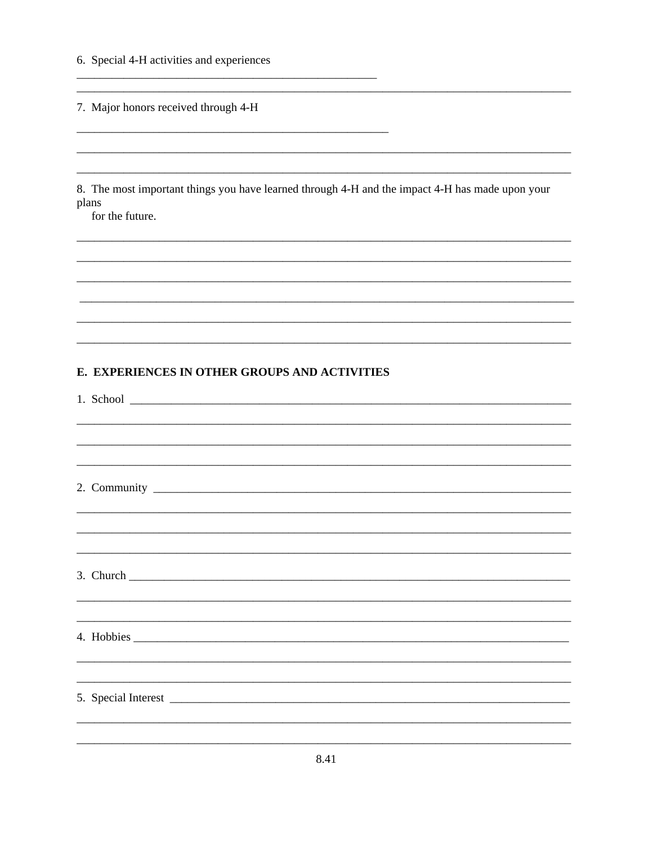6. Special 4-H activities and experiences

7. Major honors received through 4-H

8. The most important things you have learned through 4-H and the impact 4-H has made upon your plans

for the future.

### E. EXPERIENCES IN OTHER GROUPS AND ACTIVITIES

1. School  $\overline{\qquad \qquad }$